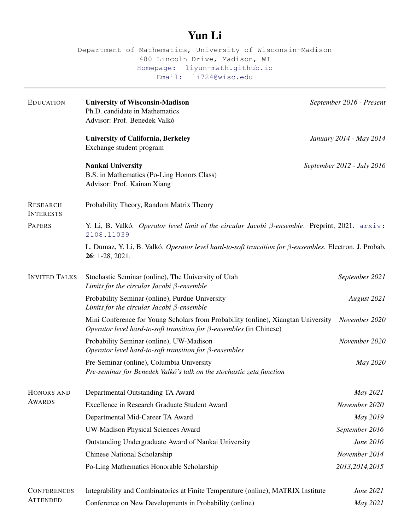## Yun Li

Department of Mathematics, University of Wisconsin-Madison 480 Lincoln Drive, Madison, WI [Homepage: liyun-math.github.io](https://liyun-math.github.io/) [Email: li724@wisc.edu](mailto:li724@wisc.edu)

| <b>EDUCATION</b>                      | <b>University of Wisconsin-Madison</b><br>Ph.D. candidate in Mathematics<br>Advisor: Prof. Benedek Valkó                                                        | September 2016 - Present   |
|---------------------------------------|-----------------------------------------------------------------------------------------------------------------------------------------------------------------|----------------------------|
|                                       | <b>University of California, Berkeley</b><br>Exchange student program                                                                                           | January 2014 - May 2014    |
|                                       | <b>Nankai University</b><br>B.S. in Mathematics (Po-Ling Honors Class)<br>Advisor: Prof. Kainan Xiang                                                           | September 2012 - July 2016 |
| <b>RESEARCH</b><br><b>INTERESTS</b>   | Probability Theory, Random Matrix Theory                                                                                                                        |                            |
| <b>PAPERS</b>                         | Y. Li, B. Valkó. Operator level limit of the circular Jacobi $\beta$ -ensemble. Preprint, 2021. arxiv:<br>2108.11039                                            |                            |
|                                       | L. Dumaz, Y. Li, B. Valkó. Operator level hard-to-soft transition for β-ensembles. Electron. J. Probab.<br>26: 1-28, 2021.                                      |                            |
| <b>INVITED TALKS</b>                  | Stochastic Seminar (online), The University of Utah<br>Limits for the circular Jacobi $\beta$ -ensemble                                                         | September 2021             |
|                                       | Probability Seminar (online), Purdue University<br>Limits for the circular Jacobi $\beta$ -ensemble                                                             | August 2021                |
|                                       | Mini Conference for Young Scholars from Probability (online), Xiangtan University<br>Operator level hard-to-soft transition for $\beta$ -ensembles (in Chinese) | November 2020              |
|                                       | Probability Seminar (online), UW-Madison<br>Operator level hard-to-soft transition for $\beta$ -ensembles                                                       | November 2020              |
|                                       | Pre-Seminar (online), Columbia University<br>Pre-seminar for Benedek Valkó's talk on the stochastic zeta function                                               | May 2020                   |
| HONORS AND<br><b>AWARDS</b>           | Departmental Outstanding TA Award                                                                                                                               | May 2021                   |
|                                       | Excellence in Research Graduate Student Award                                                                                                                   | November 2020              |
|                                       | Departmental Mid-Career TA Award                                                                                                                                | May 2019                   |
|                                       | <b>UW-Madison Physical Sciences Award</b>                                                                                                                       | September 2016             |
|                                       | Outstanding Undergraduate Award of Nankai University                                                                                                            | June 2016                  |
|                                       | <b>Chinese National Scholarship</b>                                                                                                                             | November 2014              |
|                                       | Po-Ling Mathematics Honorable Scholarship                                                                                                                       | 2013, 2014, 2015           |
| <b>CONFERENCES</b><br><b>ATTENDED</b> | Integrability and Combinatorics at Finite Temperature (online), MATRIX Institute                                                                                | June 2021                  |
|                                       | Conference on New Developments in Probability (online)                                                                                                          | May 2021                   |